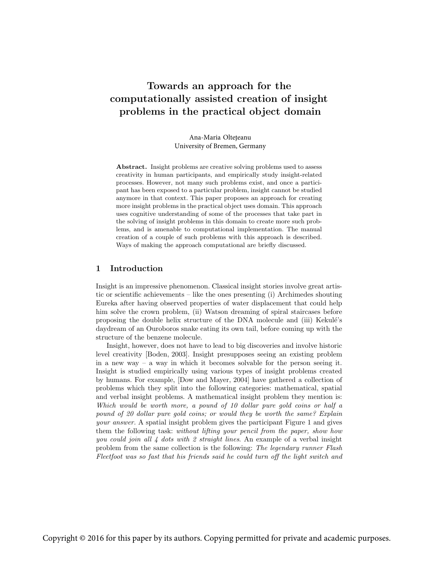# Towards an approach for the computationally assisted creation of insight problems in the practical object domain

Ana-Maria Olteteanu University of Bremen, Germany

Abstract. Insight problems are creative solving problems used to assess creativity in human participants, and empirically study insight-related processes. However, not many such problems exist, and once a participant has been exposed to a particular problem, insight cannot be studied anymore in that context. This paper proposes an approach for creating more insight problems in the practical object uses domain. This approach uses cognitive understanding of some of the processes that take part in the solving of insight problems in this domain to create more such problems, and is amenable to computational implementation. The manual creation of a couple of such problems with this approach is described. Ways of making the approach computational are briefly discussed.

## 1 Introduction

Insight is an impressive phenomenon. Classical insight stories involve great artistic or scientific achievements – like the ones presenting (i) Archimedes shouting Eureka after having observed properties of water displacement that could help him solve the crown problem, (ii) Watson dreaming of spiral staircases before proposing the double helix structure of the DNA molecule and (iii) Kekulé's daydream of an Ouroboros snake eating its own tail, before coming up with the structure of the benzene molecule.

Insight, however, does not have to lead to big discoveries and involve historic level creativity [Boden, 2003]. Insight presupposes seeing an existing problem in a new way – a way in which it becomes solvable for the person seeing it. Insight is studied empirically using various types of insight problems created by humans. For example, [Dow and Mayer, 2004] have gathered a collection of problems which they split into the following categories: mathematical, spatial and verbal insight problems. A mathematical insight problem they mention is: Which would be worth more, a pound of 10 dollar pure gold coins or half a pound of 20 dollar pure gold coins; or would they be worth the same? Explain your answer. A spatial insight problem gives the participant Figure 1 and gives them the following task: without lifting your pencil from the paper, show how you could join all 4 dots with 2 straight lines. An example of a verbal insight problem from the same collection is the following: The legendary runner Flash Fleetfoot was so fast that his friends said he could turn off the light switch and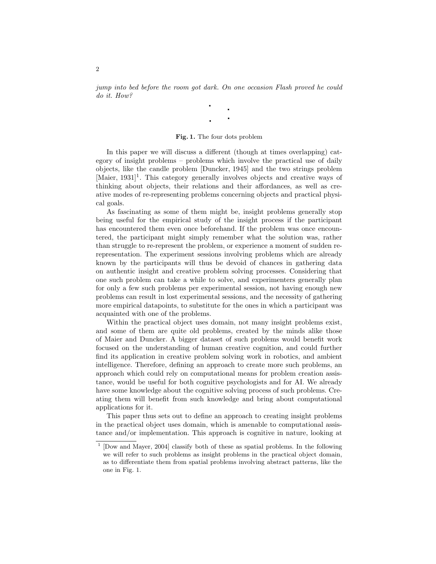jump into bed before the room got dark. On one occasion Flash proved he could do it. How?

Fig. 1. The four dots problem

In this paper we will discuss a different (though at times overlapping) category of insight problems – problems which involve the practical use of daily objects, like the candle problem [Duncker, 1945] and the two strings problem [Maier, 1931]<sup>1</sup>. This category generally involves objects and creative ways of thinking about objects, their relations and their affordances, as well as creative modes of re-representing problems concerning objects and practical physical goals.

As fascinating as some of them might be, insight problems generally stop being useful for the empirical study of the insight process if the participant has encountered them even once beforehand. If the problem was once encountered, the participant might simply remember what the solution was, rather than struggle to re-represent the problem, or experience a moment of sudden rerepresentation. The experiment sessions involving problems which are already known by the participants will thus be devoid of chances in gathering data on authentic insight and creative problem solving processes. Considering that one such problem can take a while to solve, and experimenters generally plan for only a few such problems per experimental session, not having enough new problems can result in lost experimental sessions, and the necessity of gathering more empirical datapoints, to substitute for the ones in which a participant was acquainted with one of the problems.

Within the practical object uses domain, not many insight problems exist, and some of them are quite old problems, created by the minds alike those of Maier and Duncker. A bigger dataset of such problems would benefit work focused on the understanding of human creative cognition, and could further find its application in creative problem solving work in robotics, and ambient intelligence. Therefore, defining an approach to create more such problems, an approach which could rely on computational means for problem creation assistance, would be useful for both cognitive psychologists and for AI. We already have some knowledge about the cognitive solving process of such problems. Creating them will benefit from such knowledge and bring about computational applications for it.

This paper thus sets out to define an approach to creating insight problems in the practical object uses domain, which is amenable to computational assistance and/or implementation. This approach is cognitive in nature, looking at

<sup>&</sup>lt;sup>1</sup> [Dow and Mayer, 2004] classify both of these as spatial problems. In the following we will refer to such problems as insight problems in the practical object domain, as to differentiate them from spatial problems involving abstract patterns, like the one in Fig. 1.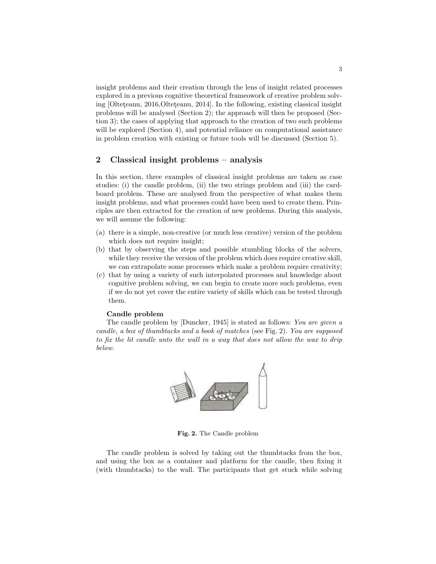insight problems and their creation through the lens of insight related processes explored in a previous cognitive theoretical frameowork of creative problem solving  $[Oltetaeanu, 2016, Oltetaeanu, 2014]$ . In the following, existing classical insight problems will be analysed (Section 2); the approach will then be proposed (Section 3); the cases of applying that approach to the creation of two such problems will be explored (Section 4), and potential reliance on computational assistance in problem creation with existing or future tools will be discussed (Section 5).

# 2 Classical insight problems – analysis

In this section, three examples of classical insight problems are taken as case studies: (i) the candle problem, (ii) the two strings problem and (iii) the cardboard problem. These are analysed from the perspective of what makes them insight problems, and what processes could have been used to create them. Principles are then extracted for the creation of new problems. During this analysis, we will assume the following:

- (a) there is a simple, non-creative (or much less creative) version of the problem which does not require insight;
- (b) that by observing the steps and possible stumbling blocks of the solvers, while they receive the version of the problem which does require creative skill, we can extrapolate some processes which make a problem require creativity;
- (c) that by using a variety of such interpolated processes and knowledge about cognitive problem solving, we can begin to create more such problems, even if we do not yet cover the entire variety of skills which can be tested through them.

#### Candle problem

The candle problem by [Duncker, 1945] is stated as follows: You are given a candle, a box of thumbtacks and a book of matches (see Fig. 2). You are supposed to fix the lit candle unto the wall in a way that does not allow the wax to drip below.



Fig. 2. The Candle problem

The candle problem is solved by taking out the thumbtacks from the box, and using the box as a container and platform for the candle, then fixing it (with thumbtacks) to the wall. The participants that get stuck while solving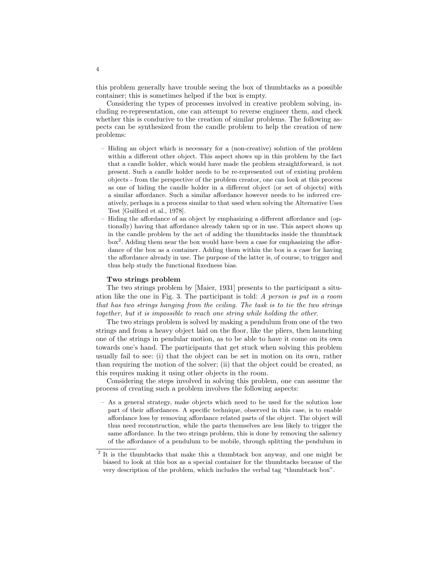this problem generally have trouble seeing the box of thumbtacks as a possible container; this is sometimes helped if the box is empty.

Considering the types of processes involved in creative problem solving, including re-representation, one can attempt to reverse engineer them, and check whether this is conducive to the creation of similar problems. The following aspects can be synthesized from the candle problem to help the creation of new problems:

- Hiding an object which is necessary for a (non-creative) solution of the problem within a different other object. This aspect shows up in this problem by the fact that a candle holder, which would have made the problem straightforward, is not present. Such a candle holder needs to be re-represented out of existing problem objects - from the perspective of the problem creator, one can look at this process as one of hiding the candle holder in a different object (or set of objects) with a similar affordance. Such a similar affordance however needs to be inferred creatively, perhaps in a process similar to that used when solving the Alternative Uses Test [Guilford et al., 1978].
- Hiding the affordance of an object by emphasizing a different affordance and (optionally) having that affordance already taken up or in use. This aspect shows up in the candle problem by the act of adding the thumbtacks inside the thumbtack box<sup>2</sup> . Adding them near the box would have been a case for emphasizing the affordance of the box as a container. Adding them within the box is a case for having the affordance already in use. The purpose of the latter is, of course, to trigger and thus help study the functional fixedness bias.

#### Two strings problem

The two strings problem by [Maier, 1931] presents to the participant a situation like the one in Fig. 3. The participant is told: A person is put in a room that has two strings hanging from the ceiling. The task is to tie the two strings together, but it is impossible to reach one string while holding the other.

The two strings problem is solved by making a pendulum from one of the two strings and from a heavy object laid on the floor, like the pliers, then launching one of the strings in pendular motion, as to be able to have it come on its own towards one's hand. The participants that get stuck when solving this problem usually fail to see: (i) that the object can be set in motion on its own, rather than requiring the motion of the solver; (ii) that the object could be created, as this requires making it using other objects in the room.

Considering the steps involved in solving this problem, one can assume the process of creating such a problem involves the following aspects:

– As a general strategy, make objects which need to be used for the solution lose part of their affordances. A specific technique, observed in this case, is to enable affordance loss by removing affordance related parts of the object. The object will thus need reconstruction, while the parts themselves are less likely to trigger the same affordance. In the two strings problem, this is done by removing the saliency of the affordance of a pendulum to be mobile, through splitting the pendulum in

4

<sup>&</sup>lt;sup>2</sup> It is the thumbtacks that make this a thumbtack box anyway, and one might be biased to look at this box as a special container for the thumbtacks because of the very description of the problem, which includes the verbal tag "thumbtack box".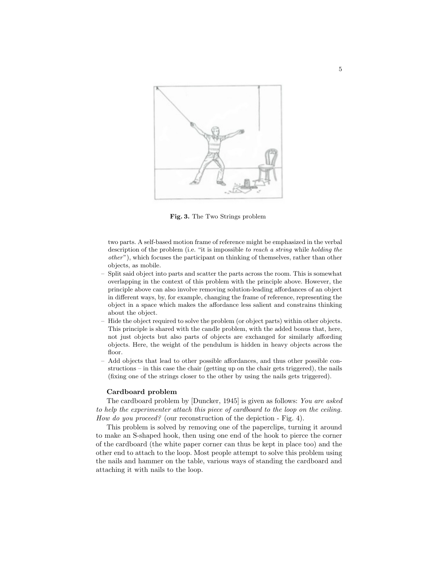

Fig. 3. The Two Strings problem

two parts. A self-based motion frame of reference might be emphasized in the verbal description of the problem (i.e. "it is impossible to reach a string while holding the other"), which focuses the participant on thinking of themselves, rather than other objects, as mobile.

- Split said object into parts and scatter the parts across the room. This is somewhat overlapping in the context of this problem with the principle above. However, the principle above can also involve removing solution-leading affordances of an object in different ways, by, for example, changing the frame of reference, representing the object in a space which makes the affordance less salient and constrains thinking about the object.
- Hide the object required to solve the problem (or object parts) within other objects. This principle is shared with the candle problem, with the added bonus that, here, not just objects but also parts of objects are exchanged for similarly affording objects. Here, the weight of the pendulum is hidden in heavy objects across the floor.
- Add objects that lead to other possible affordances, and thus other possible constructions – in this case the chair (getting up on the chair gets triggered), the nails (fixing one of the strings closer to the other by using the nails gets triggered).

#### Cardboard problem

The cardboard problem by [Duncker, 1945] is given as follows: You are asked to help the experimenter attach this piece of cardboard to the loop on the ceiling. How do you proceed? (our reconstruction of the depiction - Fig. 4).

This problem is solved by removing one of the paperclips, turning it around to make an S-shaped hook, then using one end of the hook to pierce the corner of the cardboard (the white paper corner can thus be kept in place too) and the other end to attach to the loop. Most people attempt to solve this problem using the nails and hammer on the table, various ways of standing the cardboard and attaching it with nails to the loop.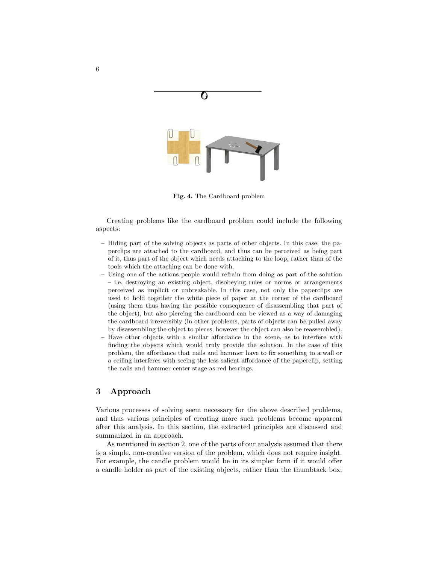

Fig. 4. The Cardboard problem

Creating problems like the cardboard problem could include the following aspects:

- Hiding part of the solving objects as parts of other objects. In this case, the paperclips are attached to the cardboard, and thus can be perceived as being part of it, thus part of the object which needs attaching to the loop, rather than of the tools which the attaching can be done with.
- Using one of the actions people would refrain from doing as part of the solution – i.e. destroying an existing object, disobeying rules or norms or arrangements perceived as implicit or unbreakable. In this case, not only the paperclips are used to hold together the white piece of paper at the corner of the cardboard (using them thus having the possible consequence of disassembling that part of the object), but also piercing the cardboard can be viewed as a way of damaging the cardboard irreversibly (in other problems, parts of objects can be pulled away by disassembling the object to pieces, however the object can also be reassembled).
- Have other objects with a similar affordance in the scene, as to interfere with finding the objects which would truly provide the solution. In the case of this problem, the affordance that nails and hammer have to fix something to a wall or a ceiling interferes with seeing the less salient affordance of the paperclip, setting the nails and hammer center stage as red herrings.

## 3 Approach

Various processes of solving seem necessary for the above described problems, and thus various principles of creating more such problems become apparent after this analysis. In this section, the extracted principles are discussed and summarized in an approach.

As mentioned in section 2, one of the parts of our analysis assumed that there is a simple, non-creative version of the problem, which does not require insight. For example, the candle problem would be in its simpler form if it would offer a candle holder as part of the existing objects, rather than the thumbtack box;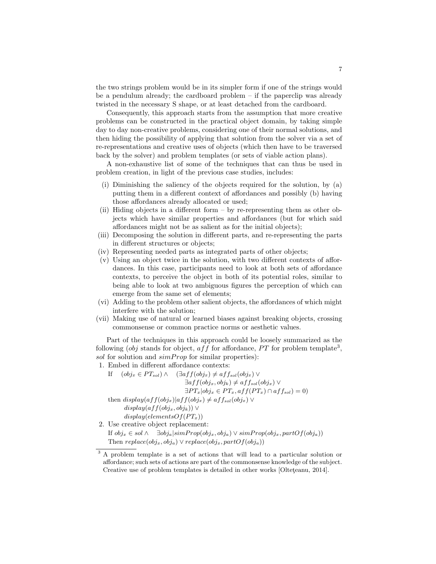the two strings problem would be in its simpler form if one of the strings would be a pendulum already; the cardboard problem – if the paperclip was already twisted in the necessary S shape, or at least detached from the cardboard.

Consequently, this approach starts from the assumption that more creative problems can be constructed in the practical object domain, by taking simple day to day non-creative problems, considering one of their normal solutions, and then hiding the possibility of applying that solution from the solver via a set of re-representations and creative uses of objects (which then have to be traversed back by the solver) and problem templates (or sets of viable action plans).

A non-exhaustive list of some of the techniques that can thus be used in problem creation, in light of the previous case studies, includes:

- (i) Diminishing the saliency of the objects required for the solution, by (a) putting them in a different context of affordances and possibly (b) having those affordances already allocated or used;
- (ii) Hiding objects in a different form by re-representing them as other objects which have similar properties and affordances (but for which said affordances might not be as salient as for the initial objects);
- (iii) Decomposing the solution in different parts, and re-representing the parts in different structures or objects;
- (iv) Representing needed parts as integrated parts of other objects;
- (v) Using an object twice in the solution, with two different contexts of affordances. In this case, participants need to look at both sets of affordance contexts, to perceive the object in both of its potential roles, similar to being able to look at two ambiguous figures the perception of which can emerge from the same set of elements;
- (vi) Adding to the problem other salient objects, the affordances of which might interfere with the solution;
- (vii) Making use of natural or learned biases against breaking objects, crossing commonsense or common practice norms or aesthetic values.

Part of the techniques in this approach could be loosely summarized as the following (*obj* stands for object,  $aff$  for affordance,  $PT$  for problem template<sup>3</sup>, sol for solution and  $\textit{simProp}$  for similar properties):

1. Embed in different affordance contexts:

If  $(obj_x \in PT_{sol}) \wedge (\exists aff(obj_x) \neq aff_{sol}(obj_x) \vee$  $\exists aff(obj_x,obj_k) \neq aff_{sol}(obj_x) \vee$  $\exists PT_x|obj_x \in PT_x, aff(PT_x) \cap aff_{sol}) = 0$ then  $display(aff(obj_x)|aff(obj_x) \neq aff_{sol(obj_x)} \vee$  $display(aff(obj_x, obj_k)) \vee$  $display(elementsOf(PT<sub>x</sub>))$ 

2. Use creative object replacement: If  $obj_x \in sol \land$  ∃obj<sub>a</sub>|simProp(obj<sub>x</sub>, obj<sub>a</sub>)  $\lor$  simProp(obj<sub>x</sub>, partOf(obj<sub>a</sub>)) Then  $replace(obj_x, obj_a) \vee replace(obj_x, partOf(obj_a))$ 

<sup>&</sup>lt;sup>3</sup> A problem template is a set of actions that will lead to a particular solution or affordance; such sets of actions are part of the commonsense knowledge of the subject. Creative use of problem templates is detailed in other works [Olteteanu, 2014].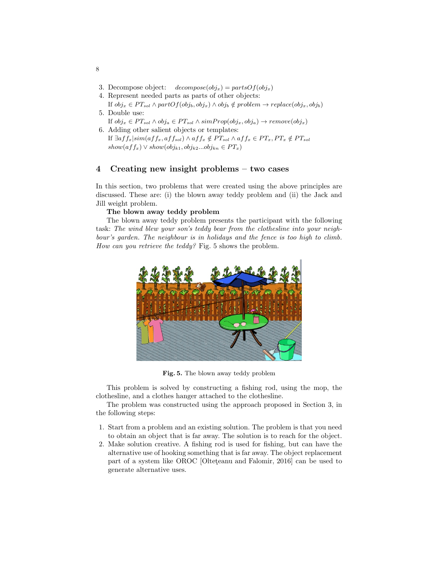- 3. Decompose object:  $decompose(obj_x) = partsOf(obj_x)$
- 4. Represent needed parts as parts of other objects:
- If  $obj_x$  ∈  $PT_{sol}$  ∧  $partOf(obj_b, obj_x)$  ∧  $obj_b \notin problem \rightarrow replace(obj_x, obj_b)$ 5. Double use:
- If  $obj_x \in PT_{sol} \land obj_a \in PT_{sol} \land simProp(obj_x, obj_a) \rightarrow remove(obj_x)$ 6. Adding other salient objects or templates:
	- If  $\exists aff_x|sim(aff_x,aff_{sol}) \land aff_x \notin PT_{sol} \land aff_x \in PT_x, PT_x \notin PT_{sol}$ show $(aff_x) \vee show(obj_{k1}, obj_{k2}...obj_{kn} \in PT_x)$

### 4 Creating new insight problems – two cases

In this section, two problems that were created using the above principles are discussed. These are: (i) the blown away teddy problem and (ii) the Jack and Jill weight problem.

### The blown away teddy problem

The blown away teddy problem presents the participant with the following task: The wind blew your son's teddy bear from the clothesline into your neighbour's garden. The neighbour is in holidays and the fence is too high to climb. How can you retrieve the teddy? Fig. 5 shows the problem.



Fig. 5. The blown away teddy problem

This problem is solved by constructing a fishing rod, using the mop, the clothesline, and a clothes hanger attached to the clothesline.

The problem was constructed using the approach proposed in Section 3, in the following steps:

- 1. Start from a problem and an existing solution. The problem is that you need to obtain an object that is far away. The solution is to reach for the object.
- 2. Make solution creative. A fishing rod is used for fishing, but can have the alternative use of hooking something that is far away. The object replacement part of a system like OROC [Olteteanu and Falomir, 2016] can be used to generate alternative uses.

8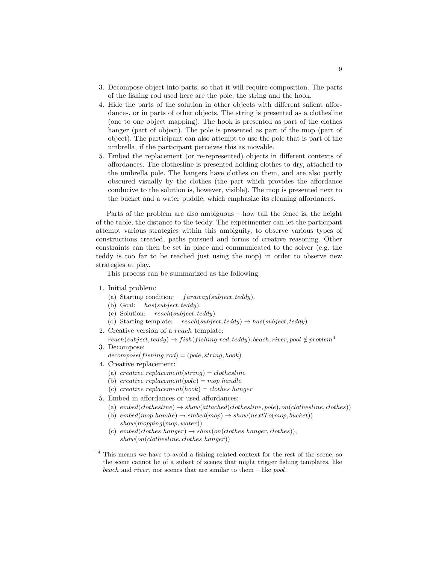- 3. Decompose object into parts, so that it will require composition. The parts of the fishing rod used here are the pole, the string and the hook.
- 4. Hide the parts of the solution in other objects with different salient affordances, or in parts of other objects. The string is presented as a clothesline (one to one object mapping). The hook is presented as part of the clothes hanger (part of object). The pole is presented as part of the mop (part of object). The participant can also attempt to use the pole that is part of the umbrella, if the participant perceives this as movable.
- 5. Embed the replacement (or re-represented) objects in different contexts of affordances. The clothesline is presented holding clothes to dry, attached to the umbrella pole. The hangers have clothes on them, and are also partly obscured visually by the clothes (the part which provides the affordance conducive to the solution is, however, visible). The mop is presented next to the bucket and a water puddle, which emphasize its cleaning affordances.

Parts of the problem are also ambiguous – how tall the fence is, the height of the table, the distance to the teddy. The experimenter can let the participant attempt various strategies within this ambiguity, to observe various types of constructions created, paths pursued and forms of creative reasoning. Other constraints can then be set in place and communicated to the solver (e.g. the teddy is too far to be reached just using the mop) in order to observe new strategies at play.

This process can be summarized as the following:

- 1. Initial problem:
	- (a) Starting condition:  $faraway(subject, teddy)$ .
	- (b) Goal: has(subject, teddy).
	- (c) Solution: reach(subject, teddy)
	- (d) Starting template:  $reach(subject, teddy) \rightarrow has(subject, teddy)$
- 2. Creative version of a reach template:
- $reach(subject, teddy) \rightarrow fish(fishing\ rod, teddy); beach, river, pool \notin problem^4$
- 3. Decompose:
	- $decompose(fishing\ rod) = (pole, string, hook)$
- 4. Creative replacement:
	- (a) creative replacement(string) = clothesline
	- (b) creative replacement(pole) = mop handle
	- (c) creative replacement(hook) = clothes hanger
- 5. Embed in affordances or used affordances:
	- (a)  $embed(clothesline) \rightarrow show(attached(clothesline, pole), on(clothesline, clothes))$
	- (b) embed(mop handle)  $\rightarrow$  embed(mop)  $\rightarrow$  show(nextTo(mop, bucket))  $show(mopping(mop, water))$
	- (c) embed(clothes hanger)  $\rightarrow$  show(on(clothes hanger, clothes)), show(on(clothesline, clothes hanger))

<sup>4</sup> This means we have to avoid a fishing related context for the rest of the scene, so the scene cannot be of a subset of scenes that might trigger fishing templates, like beach and river, nor scenes that are similar to them – like pool.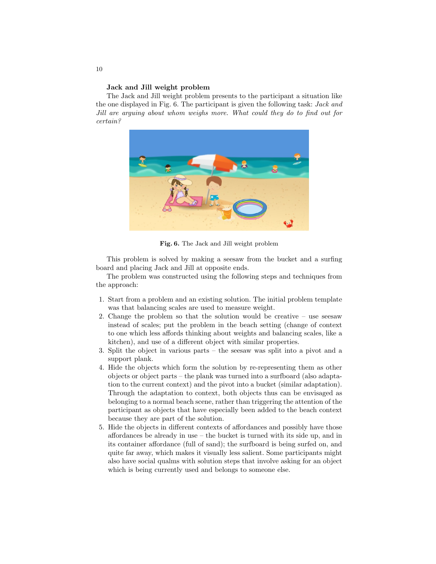#### Jack and Jill weight problem

The Jack and Jill weight problem presents to the participant a situation like the one displayed in Fig. 6. The participant is given the following task: Jack and Jill are arguing about whom weighs more. What could they do to find out for certain?



Fig. 6. The Jack and Jill weight problem

This problem is solved by making a seesaw from the bucket and a surfing board and placing Jack and Jill at opposite ends.

The problem was constructed using the following steps and techniques from the approach:

- 1. Start from a problem and an existing solution. The initial problem template was that balancing scales are used to measure weight.
- 2. Change the problem so that the solution would be creative use seesaw instead of scales; put the problem in the beach setting (change of context to one which less affords thinking about weights and balancing scales, like a kitchen), and use of a different object with similar properties.
- 3. Split the object in various parts the seesaw was split into a pivot and a support plank.
- 4. Hide the objects which form the solution by re-representing them as other objects or object parts – the plank was turned into a surfboard (also adaptation to the current context) and the pivot into a bucket (similar adaptation). Through the adaptation to context, both objects thus can be envisaged as belonging to a normal beach scene, rather than triggering the attention of the participant as objects that have especially been added to the beach context because they are part of the solution.
- 5. Hide the objects in different contexts of affordances and possibly have those affordances be already in use – the bucket is turned with its side up, and in its container affordance (full of sand); the surfboard is being surfed on, and quite far away, which makes it visually less salient. Some participants might also have social qualms with solution steps that involve asking for an object which is being currently used and belongs to someone else.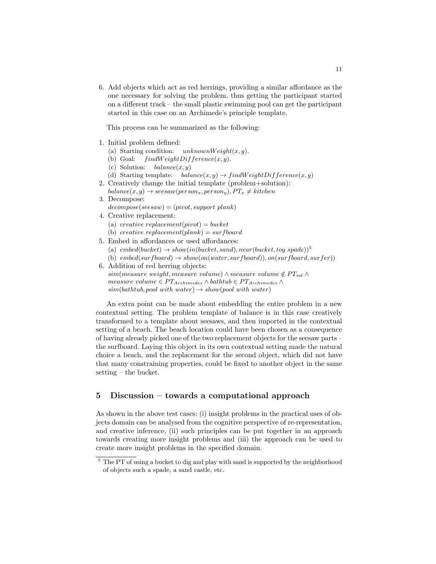6. Add objects which act as red herrings, providing a similar affordance as the one necessary for solving the problem, thus getting the participant started on a different track – the small plastic swimming pool can get the participant started in this case on an Archimede's principle template.

This process can be summarized as the following:

- 1. Initial problem defined:
	- (a) Starting condition:  $unknownWeight(x, y)$ .
	- (b) Goal:  $findWeightDifferent(x, y)$ .
	- (c) Solution:  $balance(x, y)$
- (d) Starting template:  $balance(x, y) \rightarrow findWeightDifference(x, y)$
- 2. Creatively change the initial template (problem+solution):
- $balance(x, y) \rightarrow seesaw (person_x, person_y), PT_x \neq kitchen$ 3. Decompose:
	- $decompose(seesaw) = (pivot, support\ plank)$
- 4. Creative replacement:
	- (a) creative replacement(pivot) = bucket
	- (b) creative replacement(plank) = surfboard
- 5. Embed in affordances or used affordances:
	- (a)  $embed(backet) \rightarrow show(in(backet, sand),near(backet, toy spade))^5$
- (b)  $embed(surfboard) \rightarrow show(on(water, surfboard)), on(surfboard, surfer))$
- 6. Addition of red herring objects:  $sim(measure weight, measure volume) \wedge measure volume \notin PT_{sol} \wedge$  $measure \ volume \in PT_{Archimedes} \wedge bathtub \in PT_{Archimedes} \wedge$  $sim(bath tub, pool with water) \rightarrow show(pool with water)$

An extra point can be made about embedding the entire problem in a new contextual setting. The problem template of balance is in this case creatively transformed to a template about seesaws, and then imported in the contextual setting of a beach. The beach location could have been chosen as a consequence of having already picked one of the two replacement objects for the seesaw parts – the surfboard. Laying this object in its own contextual setting made the natural choice a beach, and the replacement for the second object, which did not have that many constraining properties, could be fixed to another object in the same setting – the bucket.

## 5 Discussion – towards a computational approach

As shown in the above test cases: (i) insight problems in the practical uses of objects domain can be analysed from the cognitive perspective of re-representation, and creative inference, (ii) such principles can be put together in an approach towards creating more insight problems and (iii) the approach can be used to create more insight problems in the specified domain.

<sup>5</sup> The PT of using a bucket to dig and play with sand is supported by the neighborhood of objects such a spade, a sand castle, etc.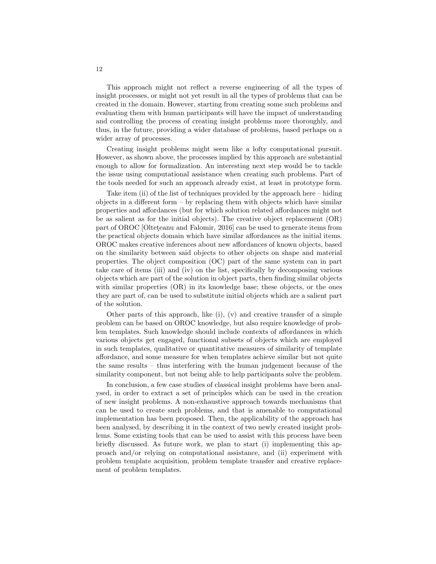This approach might not reflect a reverse engineering of all the types of insight processes, or might not yet result in all the types of problems that can be created in the domain. However, starting from creating some such problems and evaluating them with human participants will have the impact of understanding and controlling the process of creating insight problems more thoroughly, and thus, in the future, providing a wider database of problems, based perhaps on a wider array of processes.

Creating insight problems might seem like a lofty computational pursuit. However, as shown above, the processes implied by this approach are substantial enough to allow for formalization. An interesting next step would be to tackle the issue using computational assistance when creating such problems. Part of the tools needed for such an approach already exist, at least in prototype form.

Take item (ii) of the list of techniques provided by the approach here  $-$  hiding objects in a different form – by replacing them with objects which have similar properties and affordances (but for which solution related affordances might not be as salient as for the initial objects). The creative object replacement (OR) part of OROC [Olteteanu and Falomir, 2016] can be used to generate items from the practical objects domain which have similar affordances as the initial items. OROC makes creative inferences about new affordances of known objects, based on the similarity between said objects to other objects on shape and material properties. The object composition (OC) part of the same system can in part take care of items (iii) and (iv) on the list, specifically by decomposing various objects which are part of the solution in object parts, then finding similar objects with similar properties (OR) in its knowledge base; these objects, or the ones they are part of, can be used to substitute initial objects which are a salient part of the solution.

Other parts of this approach, like  $(i)$ ,  $(v)$  and creative transfer of a simple problem can be based on OROC knowledge, but also require knowledge of problem templates. Such knowledge should include contexts of affordances in which various objects get engaged, functional subsets of objects which are employed in such templates, qualitative or quantitative measures of similarity of template affordance, and some measure for when templates achieve similar but not quite the same results – thus interfering with the human judgement because of the similarity component, but not being able to help participants solve the problem.

In conclusion, a few case studies of classical insight problems have been analysed, in order to extract a set of principles which can be used in the creation of new insight problems. A non-exhaustive approach towards mechanisms that can be used to create such problems, and that is amenable to computational implementation has been proposed. Then, the applicability of the approach has been analysed, by describing it in the context of two newly created insight problems. Some existing tools that can be used to assist with this process have been briefly discussed. As future work, we plan to start (i) implementing this approach and/or relying on computational assistance, and (ii) experiment with problem template acquisition, problem template transfer and creative replacement of problem templates.